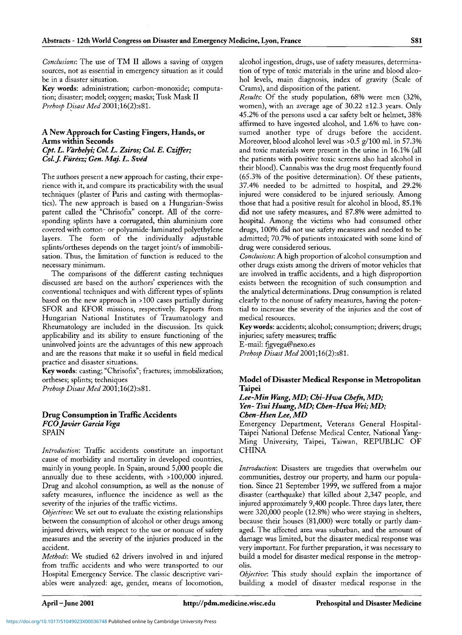*Conclusions:* The use of TM II allows a saving of oxygen sources, not as essential in emergency situation as it could be in a disaster situation.

**Key words:** administration; carbon-monoxide; computation; disaster; model; oxygen; masks; Tusk Mask II *Prehosp Disast Med* 2001;16(2):s81.

## **A New Approach for Casting Fingers, Hands, or Arms within Seconds** *Cpt. L. Varhelyi; Col. L. Zsiros; Col. E. Cziffer; Col.J. Fiiresz; Gen. Maj. L. Sved*

The authors present a new approach for casting, their experience with it, and compare its practicability with the usual techniques (plaster of Paris and casting with thermoplastics). The new approach is based on a Hungarian-Swiss patent called the "Chrisofix" concept. All of the corresponding splints have a corrugated, thin aluminium core covered with cotton- or polyamide-laminated polyethylene layers. The form of the individually adjustable splints/ortheses depends on the target joint/s of immobilisation. Thus, the limitation of function is reduced to the necessary minimum.

The comparisons of the different casting techniques discussed are based on the authors' experiences with the conventional techniques and with different types of splints based on the new approach in >100 cases partially during SFOR and KFOR missions, respectively. Reports from Hungarian National Institutes of Traumatology and Rheumatology are included in the discussion. Its quick applicability and its ability to ensure functioning of the uninvolved joints are the advantages of this new approach and are the reasons that make it so useful in field medical practice and disaster situations.

**Key words:** casting; "Chrisofix"; fractures; immobilization; ortheses; splints; techniques

*Prehosp Disast Med* 2001;16(2):s81.

#### **Drug Consumption in Traffic Accidents** *FCO Javier Garcia Vega* SPAIN

*Introduction:* Traffic accidents constitute an important cause of morbidity and mortality in developed countries, mainly in young people. In Spain, around 5,000 people die annually due to these accidents, with > 100,000 injured. Drug and alcohol consumption, as well as the nonuse of safety measures, influence the incidence as well as the severity of the injuries of the traffic victims.

*Objectives:* We set out to evaluate the existing relationships between the consumption of alcohol or other drugs among injured drivers, with respect to the use or nonuse of safety measures and the severity of the injuries produced in the accident.

*Methods:* We studied 62 drivers involved in and injured from traffic accidents and who were transported to our Hospital Emergency Service. The classic descriptive variables were analyzed: age, gender, means of locomotion, alcohol ingestion, drugs, use of safety measures, determination of type of toxic materials in the urine and blood alcohol levels, main diagnosis, index of gravity (Scale of Crams), and disposition of the patient.

*Results:* Of the study population, 68% were men (32%, women), with an average age of 30.22 ±12.3 years. Only 45.2% of the persons used a car safety belt or helmet, 38% affirmed to have ingested alcohol, and 1.6% to have consumed another type of drugs before the accident. Moreover, blood alcohol level was >0.5 g/100 ml. in 57.3% and toxic materials were present in the urine in 16.1% (all the patients with positive toxic screens also had alcohol in their blood). Cannabis was the drug most frequently found (65.3% of the positive determination). Of these patients, 37.4% needed to be admitted to hospital, and 29.2% injured were considered to be injured seriously. Among those that had a positive result for alcohol in blood, 85.1% did not use safety measures, and 87.8% were admitted to hospital. Among the victims who had consumed other drugs, 100% did not use safety measures and needed to be admitted; 70.7% of patients intoxicated with some kind of drug were considered serious.

*Conclusions:* A high proportion of alcohol consumption and other drugs exists among the drivers of motor vehicles that are involved in traffic accidents, and a high disproportion exists between the recognition of such consumption and the analytical determinations. Drug consumption is related clearly to the nonuse of safety measures, having the potential to increase the severity of the injuries and the cost of medical resources.

**Keywords:** accidents; alcohol; consumption; drivers; drugs; injuries; safety measures; traffic E-mail: fjgvega@nexo.es

*Prehosp Disast Med 2001;16(2):881.* 

## **Model of Disaster Medical Response in Metropolitan Taipei**

#### *Lee-Min Wang, MD; Chi-Hwa Chefn, MD;* Yen- Tsui Huang, MD; Chen-Hwa Wei; MD; *Chen-HsenLee,MD*

Emergency Department, Veterans General Hospital-Taipei National Defense Medical Center, National Yang-Ming University, Taipei, Taiwan, REPUBLIC OF CHINA

*Introduction:* Disasters are tragedies that overwhelm our communities, destroy our property, and harm our population. Since 21 September 1999, we suffered from a major disaster (earthquake) that killed about 2,347 people, and injured approximately 9,400 people. Three days later, there were 320,000 people (12.8%) who were staying in shelters, because their houses (81,000) were totally or partly damaged. The affected area was suburban, and the amount of damage was limited, but the disaster medical response was very important. For further preparation, it was necessary to build a model for disaster medical response in the metropolis.

*Objective:* This study should explain the importance of building a model of disaster medical response in the